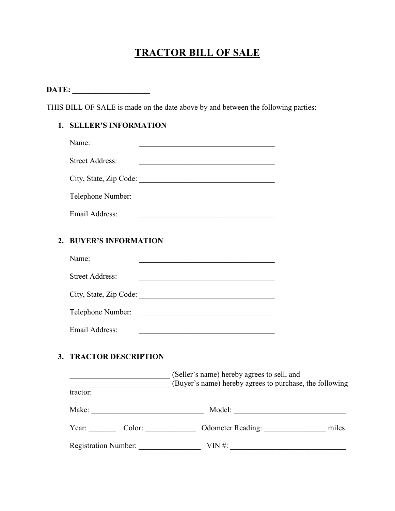# **TRACTOR BILL OF SALE**

**DATE:** \_\_\_\_\_\_\_\_\_\_\_\_\_\_\_\_\_\_\_\_

THIS BILL OF SALE is made on the date above by and between the following parties:

# **1. SELLER'S INFORMATION**

|                  | Name:                      | <u> 1989 - Johann Barbara, margaret eta idazlea (h. 1989).</u>                                                       |  |
|------------------|----------------------------|----------------------------------------------------------------------------------------------------------------------|--|
|                  | <b>Street Address:</b>     |                                                                                                                      |  |
|                  |                            | City, State, Zip Code:                                                                                               |  |
|                  |                            | Telephone Number:                                                                                                    |  |
|                  | Email Address:             | <u> 1989 - Johann Barn, amerikansk politiker (</u> † 1908)                                                           |  |
| $\overline{2}$ . | <b>BUYER'S INFORMATION</b> |                                                                                                                      |  |
|                  | Name:                      | <u> 1989 - Johann John Stein, mars ar yw i brenin y brenin y brenin y brenin y brenin y brenin y brenin y brenin</u> |  |
|                  | <b>Street Address:</b>     |                                                                                                                      |  |
|                  |                            | City, State, Zip Code:                                                                                               |  |
|                  |                            | Telephone Number:                                                                                                    |  |
|                  | Email Address:             | <u> 2008 - Johann John Stone, mars and deutscher Stone († 18</u>                                                     |  |
|                  | 3. TRACTOR DESCRIPTION     |                                                                                                                      |  |
|                  |                            | [Seller's name) hereby agrees to sell, and<br>(Buyer's name) hereby agrees to purchase, the following                |  |
|                  | tractor:                   |                                                                                                                      |  |
|                  |                            |                                                                                                                      |  |
|                  |                            |                                                                                                                      |  |
|                  |                            |                                                                                                                      |  |

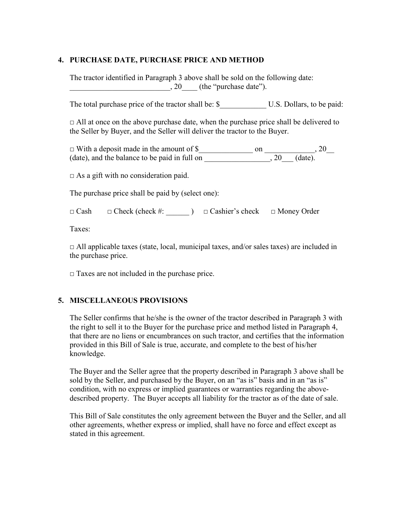#### **4. PURCHASE DATE, PURCHASE PRICE AND METHOD**

 The tractor identified in Paragraph 3 above shall be sold on the following date:  $\frac{1}{20}$  (the "purchase date").

The total purchase price of the tractor shall be: \$ U.S. Dollars, to be paid:

 $\Box$  All at once on the above purchase date, when the purchase price shall be delivered to the Seller by Buyer, and the Seller will deliver the tractor to the Buyer.

□ With a deposit made in the amount of \$\_\_\_\_\_\_\_\_\_\_\_\_\_\_ on \_\_\_\_\_\_\_\_\_\_\_\_\_, 20\_\_ (date), and the balance to be paid in full on  $\qquad \qquad 20 \qquad$  (date).

 $\Box$  As a gift with no consideration paid.

The purchase price shall be paid by (select one):

□ Cash □ Check (check #: \_\_\_\_\_\_ ) □ Cashier's check □ Money Order

Taxes:

 $\Box$  All applicable taxes (state, local, municipal taxes, and/or sales taxes) are included in the purchase price.

 $\Box$  Taxes are not included in the purchase price.

### **5. MISCELLANEOUS PROVISIONS**

 The Seller confirms that he/she is the owner of the tractor described in Paragraph 3 with the right to sell it to the Buyer for the purchase price and method listed in Paragraph 4, that there are no liens or encumbrances on such tractor, and certifies that the information provided in this Bill of Sale is true, accurate, and complete to the best of his/her knowledge.

 sold by the Seller, and purchased by the Buyer, on an "as is" basis and in an "as is" described property. The Buyer accepts all liability for the tractor as of the date of sale. The Buyer and the Seller agree that the property described in Paragraph 3 above shall be condition, with no express or implied guarantees or warranties regarding the above-

 This Bill of Sale constitutes the only agreement between the Buyer and the Seller, and all other agreements, whether express or implied, shall have no force and effect except as stated in this agreement.

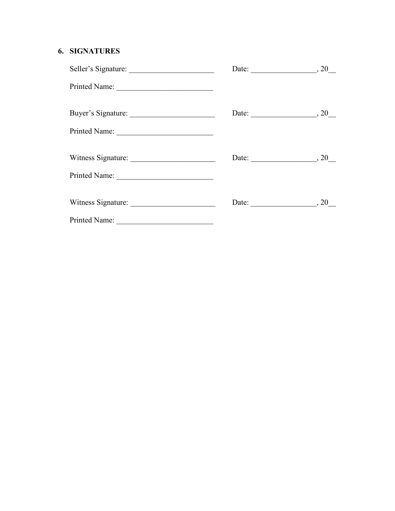# **6. SIGNATURES**

| Seller's Signature: | Date: $\_\_\_\_$ , 20     |
|---------------------|---------------------------|
| Printed Name:       |                           |
| Buyer's Signature:  | Date: $\_\_\_\_$ , 20     |
| Printed Name:       |                           |
|                     | Date: $\_\_\_\_$ , 20     |
| Printed Name:       |                           |
|                     | Date: $\qquad \qquad .20$ |
| Printed Name:       |                           |

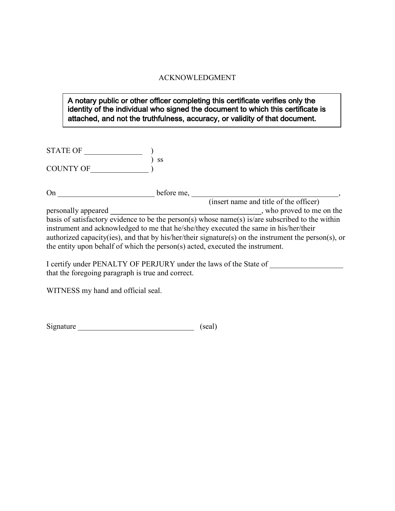#### ACKNOWLEDGMENT

### A notary public or other officer completing this certificate verifies only the identity of the individual who signed the document to which this certificate is attached, and not the truthfulness, accuracy, or validity of that document.

| <b>STATE OF</b>  |           |
|------------------|-----------|
|                  | <b>SS</b> |
| <b>COUNTY OF</b> |           |

On \_\_\_\_\_\_\_\_\_\_\_\_\_\_\_\_\_\_\_\_\_\_\_\_\_ before me, \_\_\_\_\_\_\_\_\_\_\_\_\_\_\_\_\_\_\_\_\_\_\_\_\_\_\_\_\_\_\_\_\_\_\_\_\_\_,

(insert name and title of the officer) personally appeared **\_\_\_\_\_\_\_\_\_\_\_\_\_\_\_\_\_\_\_\_\_\_\_\_\_\_\_\_\_\_\_\_\_\_\_\_\_\_\_**, who proved to me on the basis of satisfactory evidence to be the person(s) whose name(s) is/are subscribed to the within instrument and acknowledged to me that he/she/they executed the same in his/her/their authorized capacity(ies), and that by his/her/their signature(s) on the instrument the person(s), or the entity upon behalf of which the person(s) acted, executed the instrument.

I certify under PENALTY OF PERJURY under the laws of the State of that the foregoing paragraph is true and correct.

WITNESS my hand and official seal.

| Signature |  | (scal) |
|-----------|--|--------|
|-----------|--|--------|